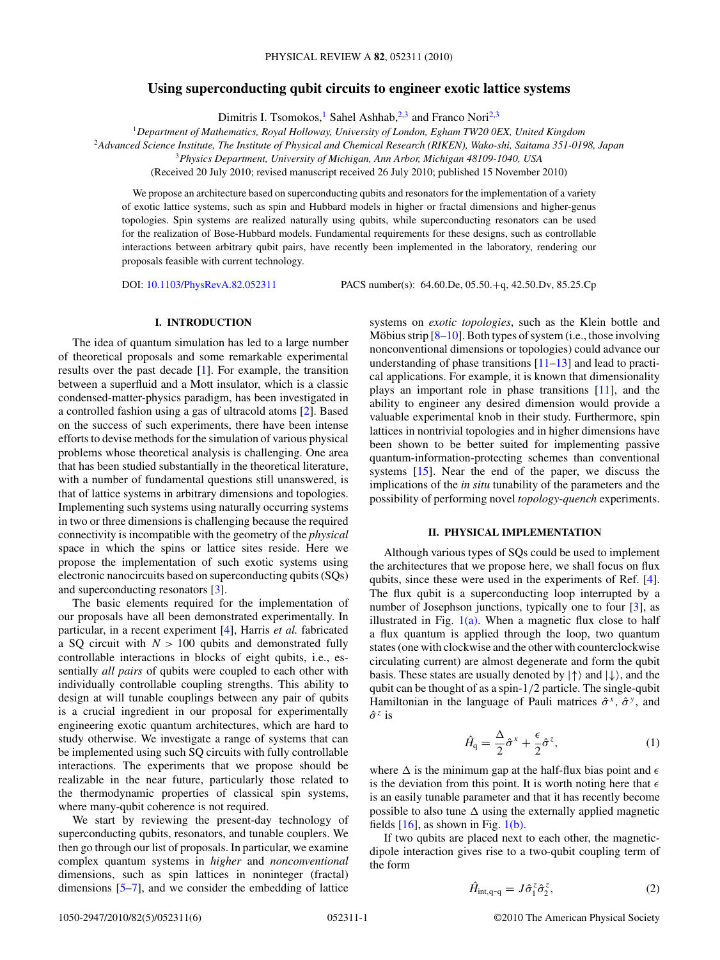# **Using superconducting qubit circuits to engineer exotic lattice systems**

Dimitris I. Tsomokos,<sup>1</sup> Sahel Ashhab,<sup>2,3</sup> and Franco Nori<sup>2,3</sup>

<span id="page-0-0"></span><sup>1</sup>*Department of Mathematics, Royal Holloway, University of London, Egham TW20 0EX, United Kingdom*

<sup>2</sup>*Advanced Science Institute, The Institute of Physical and Chemical Research (RIKEN), Wako-shi, Saitama 351-0198, Japan*

<sup>3</sup>*Physics Department, University of Michigan, Ann Arbor, Michigan 48109-1040, USA*

(Received 20 July 2010; revised manuscript received 26 July 2010; published 15 November 2010)

We propose an architecture based on superconducting qubits and resonators for the implementation of a variety of exotic lattice systems, such as spin and Hubbard models in higher or fractal dimensions and higher-genus topologies. Spin systems are realized naturally using qubits, while superconducting resonators can be used for the realization of Bose-Hubbard models. Fundamental requirements for these designs, such as controllable interactions between arbitrary qubit pairs, have recently been implemented in the laboratory, rendering our proposals feasible with current technology.

DOI: [10.1103/PhysRevA.82.052311](http://dx.doi.org/10.1103/PhysRevA.82.052311) PACS number(s): 64*.*60*.*De, 05*.*50*.*+q, 42*.*50*.*Dv, 85*.*25*.*Cp

### **I. INTRODUCTION**

The idea of quantum simulation has led to a large number of theoretical proposals and some remarkable experimental results over the past decade [\[1\]](#page-4-0). For example, the transition between a superfluid and a Mott insulator, which is a classic condensed-matter-physics paradigm, has been investigated in a controlled fashion using a gas of ultracold atoms [\[2\]](#page-4-0). Based on the success of such experiments, there have been intense efforts to devise methods for the simulation of various physical problems whose theoretical analysis is challenging. One area that has been studied substantially in the theoretical literature, with a number of fundamental questions still unanswered, is that of lattice systems in arbitrary dimensions and topologies. Implementing such systems using naturally occurring systems in two or three dimensions is challenging because the required connectivity is incompatible with the geometry of the *physical* space in which the spins or lattice sites reside. Here we propose the implementation of such exotic systems using electronic nanocircuits based on superconducting qubits (SQs) and superconducting resonators [\[3\]](#page-4-0).

The basic elements required for the implementation of our proposals have all been demonstrated experimentally. In particular, in a recent experiment [\[4\]](#page-4-0), Harris *et al.* fabricated a SQ circuit with *N >* 100 qubits and demonstrated fully controllable interactions in blocks of eight qubits, i.e., essentially *all pairs* of qubits were coupled to each other with individually controllable coupling strengths. This ability to design at will tunable couplings between any pair of qubits is a crucial ingredient in our proposal for experimentally engineering exotic quantum architectures, which are hard to study otherwise. We investigate a range of systems that can be implemented using such SQ circuits with fully controllable interactions. The experiments that we propose should be realizable in the near future, particularly those related to the thermodynamic properties of classical spin systems, where many-qubit coherence is not required.

We start by reviewing the present-day technology of superconducting qubits, resonators, and tunable couplers. We then go through our list of proposals. In particular, we examine complex quantum systems in *higher* and *nonconventional* dimensions, such as spin lattices in noninteger (fractal) dimensions [\[5–7\]](#page-4-0), and we consider the embedding of lattice

systems on *exotic topologies*, such as the Klein bottle and Möbius strip  $[8-10]$  $[8-10]$ . Both types of system (i.e., those involving nonconventional dimensions or topologies) could advance our understanding of phase transitions  $[11-13]$  and lead to practical applications. For example, it is known that dimensionality plays an important role in phase transitions [\[11\]](#page-5-0), and the ability to engineer any desired dimension would provide a valuable experimental knob in their study. Furthermore, spin lattices in nontrivial topologies and in higher dimensions have been shown to be better suited for implementing passive quantum-information-protecting schemes than conventional systems [\[15\]](#page-5-0). Near the end of the paper, we discuss the implications of the *in situ* tunability of the parameters and the possibility of performing novel *topology-quench* experiments.

### **II. PHYSICAL IMPLEMENTATION**

Although various types of SQs could be used to implement the architectures that we propose here, we shall focus on flux qubits, since these were used in the experiments of Ref. [\[4\]](#page-4-0). The flux qubit is a superconducting loop interrupted by a number of Josephson junctions, typically one to four [\[3\]](#page-4-0), as illustrated in Fig.  $1(a)$ . When a magnetic flux close to half a flux quantum is applied through the loop, two quantum states (one with clockwise and the other with counterclockwise circulating current) are almost degenerate and form the qubit basis. These states are usually denoted by  $|\uparrow\rangle$  and  $|\downarrow\rangle$ , and the qubit can be thought of as a spin-1*/*2 particle. The single-qubit Hamiltonian in the language of Pauli matrices  $\hat{\sigma}^x$ ,  $\hat{\sigma}^y$ , and  $\hat{\sigma}^z$  is

$$
\hat{H}_{\mathbf{q}} = \frac{\Delta}{2}\hat{\sigma}^x + \frac{\epsilon}{2}\hat{\sigma}^z,\tag{1}
$$

where  $\Delta$  is the minimum gap at the half-flux bias point and  $\epsilon$ is the deviation from this point. It is worth noting here that  $\epsilon$ is an easily tunable parameter and that it has recently become possible to also tune  $\Delta$  using the externally applied magnetic fields  $[16]$ , as shown in Fig.  $1(b)$ .

If two qubits are placed next to each other, the magneticdipole interaction gives rise to a two-qubit coupling term of the form

$$
\hat{H}_{\text{int},q-q} = J \hat{\sigma}_1^z \hat{\sigma}_2^z,\tag{2}
$$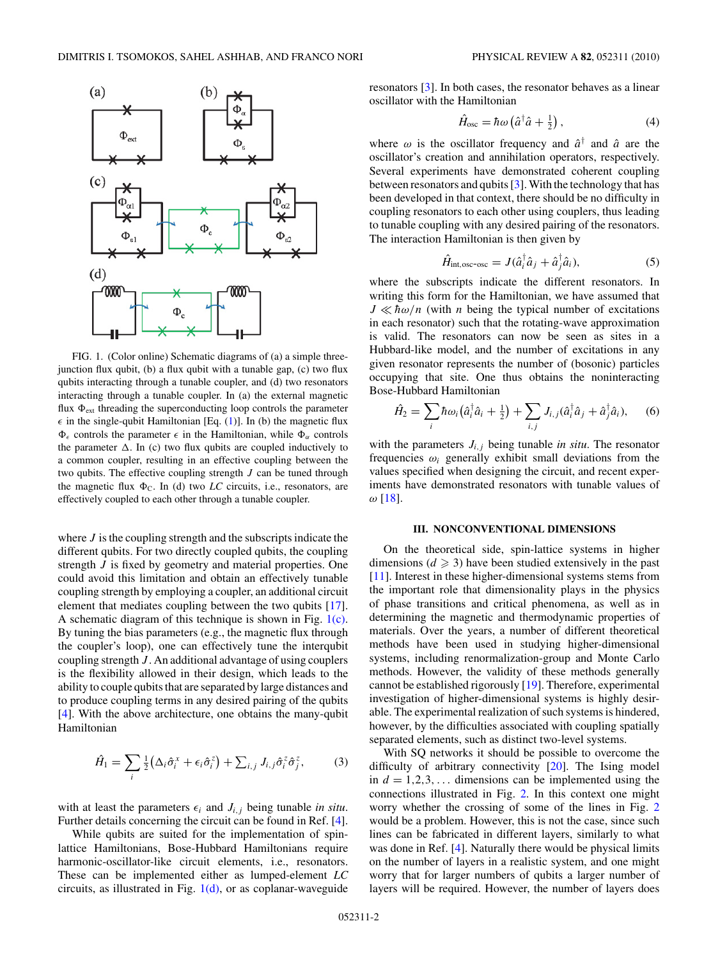<span id="page-1-0"></span>

FIG. 1. (Color online) Schematic diagrams of (a) a simple threejunction flux qubit, (b) a flux qubit with a tunable gap, (c) two flux qubits interacting through a tunable coupler, and (d) two resonators interacting through a tunable coupler. In (a) the external magnetic flux  $\Phi_{ext}$  threading the superconducting loop controls the parameter  $\epsilon$  in the single-qubit Hamiltonian [Eq. [\(1\)](#page-0-0)]. In (b) the magnetic flux  $\Phi_{\epsilon}$  controls the parameter  $\epsilon$  in the Hamiltonian, while  $\Phi_{\alpha}$  controls the parameter  $\Delta$ . In (c) two flux qubits are coupled inductively to a common coupler, resulting in an effective coupling between the two qubits. The effective coupling strength *J* can be tuned through the magnetic flux  $\Phi_C$ . In (d) two *LC* circuits, i.e., resonators, are effectively coupled to each other through a tunable coupler.

where *J* is the coupling strength and the subscripts indicate the different qubits. For two directly coupled qubits, the coupling strength *J* is fixed by geometry and material properties. One could avoid this limitation and obtain an effectively tunable coupling strength by employing a coupler, an additional circuit element that mediates coupling between the two qubits [\[17\]](#page-5-0). A schematic diagram of this technique is shown in Fig.  $1(c)$ . By tuning the bias parameters (e.g., the magnetic flux through the coupler's loop), one can effectively tune the interqubit coupling strength *J* . An additional advantage of using couplers is the flexibility allowed in their design, which leads to the ability to couple qubits that are separated by large distances and to produce coupling terms in any desired pairing of the qubits [\[4\]](#page-4-0). With the above architecture, one obtains the many-qubit Hamiltonian

$$
\hat{H}_1 = \sum_i \frac{1}{2} \big( \Delta_i \hat{\sigma}_i^x + \epsilon_i \hat{\sigma}_i^z \big) + \sum_{i,j} J_{i,j} \hat{\sigma}_i^z \hat{\sigma}_j^z, \tag{3}
$$

with at least the parameters  $\epsilon_i$  and  $J_{i,j}$  being tunable *in situ*. Further details concerning the circuit can be found in Ref. [\[4\]](#page-4-0).

While qubits are suited for the implementation of spinlattice Hamiltonians, Bose-Hubbard Hamiltonians require harmonic-oscillator-like circuit elements, i.e., resonators. These can be implemented either as lumped-element *LC* circuits, as illustrated in Fig.  $1(d)$ , or as coplanar-waveguide resonators [\[3\]](#page-4-0). In both cases, the resonator behaves as a linear oscillator with the Hamiltonian

$$
\hat{H}_{\rm osc} = \hbar \omega \left( \hat{a}^\dagger \hat{a} + \frac{1}{2} \right),\tag{4}
$$

where  $\omega$  is the oscillator frequency and  $\hat{a}^{\dagger}$  and  $\hat{a}$  are the oscillator's creation and annihilation operators, respectively. Several experiments have demonstrated coherent coupling between resonators and qubits [\[3\]](#page-4-0).With the technology that has been developed in that context, there should be no difficulty in coupling resonators to each other using couplers, thus leading to tunable coupling with any desired pairing of the resonators. The interaction Hamiltonian is then given by

$$
\hat{H}_{\text{int,osc-osc}} = J(\hat{a}_i^\dagger \hat{a}_j + \hat{a}_j^\dagger \hat{a}_i),\tag{5}
$$

where the subscripts indicate the different resonators. In writing this form for the Hamiltonian, we have assumed that  $J \ll \hbar \omega / n$  (with *n* being the typical number of excitations in each resonator) such that the rotating-wave approximation is valid. The resonators can now be seen as sites in a Hubbard-like model, and the number of excitations in any given resonator represents the number of (bosonic) particles occupying that site. One thus obtains the noninteracting Bose-Hubbard Hamiltonian

$$
\hat{H}_2 = \sum_i \hbar \omega_i \big( \hat{a}_i^{\dagger} \hat{a}_i + \frac{1}{2} \big) + \sum_{i,j} J_{i,j} \big( \hat{a}_i^{\dagger} \hat{a}_j + \hat{a}_j^{\dagger} \hat{a}_i \big), \quad (6)
$$

with the parameters  $J_{i,j}$  being tunable *in situ*. The resonator frequencies *ωi* generally exhibit small deviations from the values specified when designing the circuit, and recent experiments have demonstrated resonators with tunable values of *ω* [\[18\]](#page-5-0).

#### **III. NONCONVENTIONAL DIMENSIONS**

On the theoretical side, spin-lattice systems in higher dimensions  $(d \ge 3)$  have been studied extensively in the past [\[11\]](#page-5-0). Interest in these higher-dimensional systems stems from the important role that dimensionality plays in the physics of phase transitions and critical phenomena, as well as in determining the magnetic and thermodynamic properties of materials. Over the years, a number of different theoretical methods have been used in studying higher-dimensional systems, including renormalization-group and Monte Carlo methods. However, the validity of these methods generally cannot be established rigorously [\[19\]](#page-5-0). Therefore, experimental investigation of higher-dimensional systems is highly desirable. The experimental realization of such systems is hindered, however, by the difficulties associated with coupling spatially separated elements, such as distinct two-level systems.

With SQ networks it should be possible to overcome the difficulty of arbitrary connectivity [\[20\]](#page-5-0). The Ising model in  $d = 1, 2, 3, \ldots$  dimensions can be implemented using the connections illustrated in Fig. [2.](#page-2-0) In this context one might worry whether the crossing of some of the lines in Fig. [2](#page-2-0) would be a problem. However, this is not the case, since such lines can be fabricated in different layers, similarly to what was done in Ref. [\[4\]](#page-4-0). Naturally there would be physical limits on the number of layers in a realistic system, and one might worry that for larger numbers of qubits a larger number of layers will be required. However, the number of layers does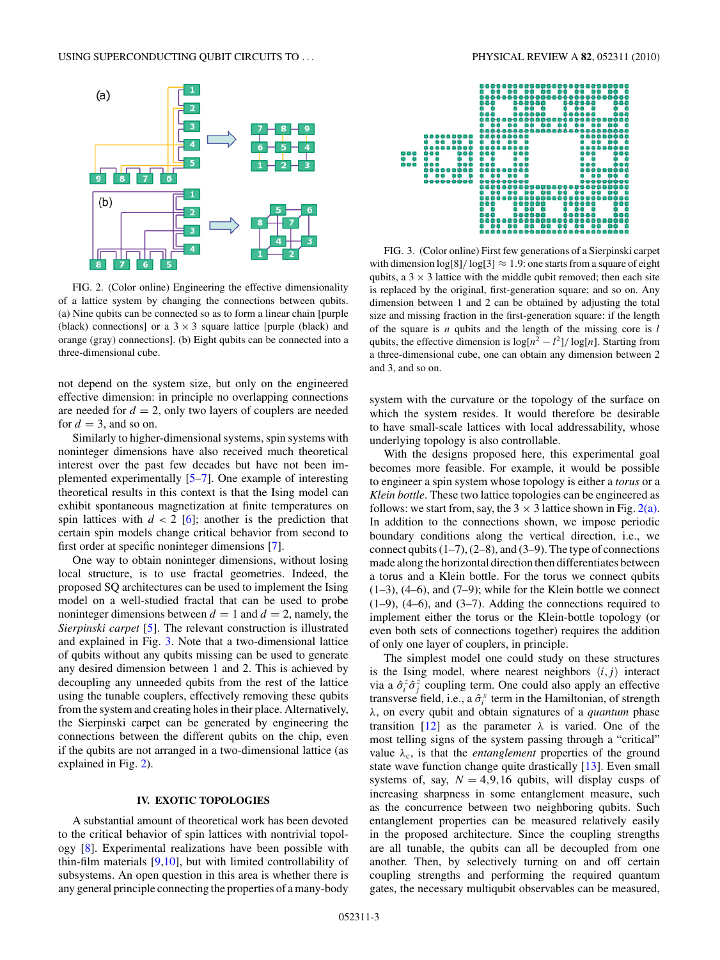<span id="page-2-0"></span>

FIG. 2. (Color online) Engineering the effective dimensionality of a lattice system by changing the connections between qubits. (a) Nine qubits can be connected so as to form a linear chain [purple (black) connections] or a  $3 \times 3$  square lattice [purple (black) and orange (gray) connections]. (b) Eight qubits can be connected into a three-dimensional cube.

not depend on the system size, but only on the engineered effective dimension: in principle no overlapping connections are needed for  $d = 2$ , only two layers of couplers are needed for  $d = 3$ , and so on.

Similarly to higher-dimensional systems, spin systems with noninteger dimensions have also received much theoretical interest over the past few decades but have not been implemented experimentally [\[5–7\]](#page-4-0). One example of interesting theoretical results in this context is that the Ising model can exhibit spontaneous magnetization at finite temperatures on spin lattices with  $d < 2$  [\[6\]](#page-4-0); another is the prediction that certain spin models change critical behavior from second to first order at specific noninteger dimensions [\[7\]](#page-4-0).

One way to obtain noninteger dimensions, without losing local structure, is to use fractal geometries. Indeed, the proposed SQ architectures can be used to implement the Ising model on a well-studied fractal that can be used to probe noninteger dimensions between  $d = 1$  and  $d = 2$ , namely, the *Sierpinski carpet* [\[5\]](#page-4-0). The relevant construction is illustrated and explained in Fig. 3. Note that a two-dimensional lattice of qubits without any qubits missing can be used to generate any desired dimension between 1 and 2. This is achieved by decoupling any unneeded qubits from the rest of the lattice using the tunable couplers, effectively removing these qubits from the system and creating holes in their place. Alternatively, the Sierpinski carpet can be generated by engineering the connections between the different qubits on the chip, even if the qubits are not arranged in a two-dimensional lattice (as explained in Fig. 2).

# **IV. EXOTIC TOPOLOGIES**

A substantial amount of theoretical work has been devoted to the critical behavior of spin lattices with nontrivial topology [\[8\]](#page-4-0). Experimental realizations have been possible with thin-film materials [\[9,10\]](#page-5-0), but with limited controllability of subsystems. An open question in this area is whether there is any general principle connecting the properties of a many-body



FIG. 3. (Color online) First few generations of a Sierpinski carpet with dimension  $\log[8]/\log[3] \approx 1.9$ : one starts from a square of eight qubits, a  $3 \times 3$  lattice with the middle qubit removed; then each site is replaced by the original, first-generation square; and so on. Any dimension between 1 and 2 can be obtained by adjusting the total size and missing fraction in the first-generation square: if the length of the square is *n* qubits and the length of the missing core is *l* qubits, the effective dimension is  $\log[n^2 - l^2]/\log[n]$ . Starting from a three-dimensional cube, one can obtain any dimension between 2 and 3, and so on.

system with the curvature or the topology of the surface on which the system resides. It would therefore be desirable to have small-scale lattices with local addressability, whose underlying topology is also controllable.

With the designs proposed here, this experimental goal becomes more feasible. For example, it would be possible to engineer a spin system whose topology is either a *torus* or a *Klein bottle*. These two lattice topologies can be engineered as follows: we start from, say, the  $3 \times 3$  lattice shown in Fig. 2(a). In addition to the connections shown, we impose periodic boundary conditions along the vertical direction, i.e., we connect qubits  $(1-7)$ ,  $(2-8)$ , and  $(3-9)$ . The type of connections made along the horizontal direction then differentiates between a torus and a Klein bottle. For the torus we connect qubits  $(1-3)$ ,  $(4-6)$ , and  $(7-9)$ ; while for the Klein bottle we connect  $(1-9)$ ,  $(4-6)$ , and  $(3-7)$ . Adding the connections required to implement either the torus or the Klein-bottle topology (or even both sets of connections together) requires the addition of only one layer of couplers, in principle.

The simplest model one could study on these structures is the Ising model, where nearest neighbors  $\langle i, j \rangle$  interact via a  $\hat{\sigma}_i^z \hat{\sigma}_j^z$  coupling term. One could also apply an effective transverse field, i.e., a  $\hat{\sigma}_i^x$  term in the Hamiltonian, of strength *λ*, on every qubit and obtain signatures of a *quantum* phase transition  $[12]$  as the parameter  $\lambda$  is varied. One of the most telling signs of the system passing through a "critical" value  $\lambda_c$ , is that the *entanglement* properties of the ground state wave function change quite drastically [\[13\]](#page-5-0). Even small systems of, say,  $N = 4.9,16$  qubits, will display cusps of increasing sharpness in some entanglement measure, such as the concurrence between two neighboring qubits. Such entanglement properties can be measured relatively easily in the proposed architecture. Since the coupling strengths are all tunable, the qubits can all be decoupled from one another. Then, by selectively turning on and off certain coupling strengths and performing the required quantum gates, the necessary multiqubit observables can be measured,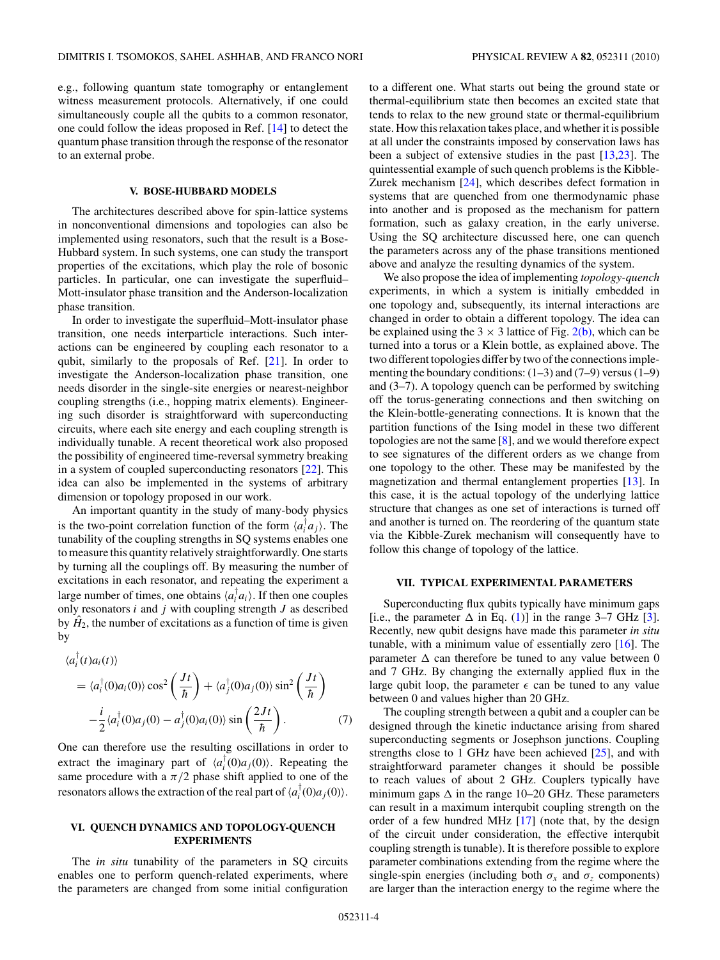e.g., following quantum state tomography or entanglement witness measurement protocols. Alternatively, if one could simultaneously couple all the qubits to a common resonator, one could follow the ideas proposed in Ref. [\[14\]](#page-5-0) to detect the quantum phase transition through the response of the resonator to an external probe.

### **V. BOSE-HUBBARD MODELS**

The architectures described above for spin-lattice systems in nonconventional dimensions and topologies can also be implemented using resonators, such that the result is a Bose-Hubbard system. In such systems, one can study the transport properties of the excitations, which play the role of bosonic particles. In particular, one can investigate the superfluid– Mott-insulator phase transition and the Anderson-localization phase transition.

In order to investigate the superfluid–Mott-insulator phase transition, one needs interparticle interactions. Such interactions can be engineered by coupling each resonator to a qubit, similarly to the proposals of Ref. [\[21\]](#page-5-0). In order to investigate the Anderson-localization phase transition, one needs disorder in the single-site energies or nearest-neighbor coupling strengths (i.e., hopping matrix elements). Engineering such disorder is straightforward with superconducting circuits, where each site energy and each coupling strength is individually tunable. A recent theoretical work also proposed the possibility of engineered time-reversal symmetry breaking in a system of coupled superconducting resonators [\[22\]](#page-5-0). This idea can also be implemented in the systems of arbitrary dimension or topology proposed in our work.

An important quantity in the study of many-body physics is the two-point correlation function of the form  $\langle a_i^{\dagger} a_j \rangle$ . The tunability of the coupling strengths in SQ systems enables one to measure this quantity relatively straightforwardly. One starts by turning all the couplings off. By measuring the number of excitations in each resonator, and repeating the experiment a large number of times, one obtains  $\langle a_i^\dagger a_i \rangle$ . If then one couples only resonators *i* and *j* with coupling strength *J* as described by  $H_2$ , the number of excitations as a function of time is given by

$$
\langle a_i^{\dagger}(t)a_i(t) \rangle
$$
  
=  $\langle a_i^{\dagger}(0)a_i(0) \rangle \cos^2 \left( \frac{Jt}{\hbar} \right) + \langle a_j^{\dagger}(0)a_j(0) \rangle \sin^2 \left( \frac{Jt}{\hbar} \right)$   

$$
-\frac{i}{2} \langle a_i^{\dagger}(0)a_j(0) - a_j^{\dagger}(0)a_i(0) \rangle \sin \left( \frac{2Jt}{\hbar} \right).
$$
 (7)

One can therefore use the resulting oscillations in order to extract the imaginary part of  $\langle a_i^{\dagger}(0) a_j(0) \rangle$ . Repeating the same procedure with a  $\pi/2$  phase shift applied to one of the resonators allows the extraction of the real part of  $\langle a_i^{\dagger}(0) a_j(0) \rangle$ .

### **VI. QUENCH DYNAMICS AND TOPOLOGY-QUENCH EXPERIMENTS**

The *in situ* tunability of the parameters in SQ circuits enables one to perform quench-related experiments, where the parameters are changed from some initial configuration to a different one. What starts out being the ground state or thermal-equilibrium state then becomes an excited state that tends to relax to the new ground state or thermal-equilibrium state. How this relaxation takes place, and whether it is possible at all under the constraints imposed by conservation laws has been a subject of extensive studies in the past [\[13,23\]](#page-5-0). The quintessential example of such quench problems is the Kibble-Zurek mechanism [\[24\]](#page-5-0), which describes defect formation in systems that are quenched from one thermodynamic phase into another and is proposed as the mechanism for pattern formation, such as galaxy creation, in the early universe. Using the SQ architecture discussed here, one can quench the parameters across any of the phase transitions mentioned above and analyze the resulting dynamics of the system.

We also propose the idea of implementing *topology-quench* experiments, in which a system is initially embedded in one topology and, subsequently, its internal interactions are changed in order to obtain a different topology. The idea can be explained using the  $3 \times 3$  lattice of Fig.  $2(b)$ , which can be turned into a torus or a Klein bottle, as explained above. The two different topologies differ by two of the connections implementing the boundary conditions:  $(1-3)$  and  $(7-9)$  versus  $(1-9)$ and (3–7). A topology quench can be performed by switching off the torus-generating connections and then switching on the Klein-bottle-generating connections. It is known that the partition functions of the Ising model in these two different topologies are not the same [\[8\]](#page-4-0), and we would therefore expect to see signatures of the different orders as we change from one topology to the other. These may be manifested by the magnetization and thermal entanglement properties [\[13\]](#page-5-0). In this case, it is the actual topology of the underlying lattice structure that changes as one set of interactions is turned off and another is turned on. The reordering of the quantum state via the Kibble-Zurek mechanism will consequently have to follow this change of topology of the lattice.

### **VII. TYPICAL EXPERIMENTAL PARAMETERS**

Superconducting flux qubits typically have minimum gaps [i.e., the parameter  $\Delta$  in Eq. [\(1\)](#page-0-0)] in the range 3–7 GHz [\[3\]](#page-4-0). Recently, new qubit designs have made this parameter *in situ* tunable, with a minimum value of essentially zero [\[16\]](#page-5-0). The parameter  $\Delta$  can therefore be tuned to any value between 0 and 7 GHz. By changing the externally applied flux in the large qubit loop, the parameter  $\epsilon$  can be tuned to any value between 0 and values higher than 20 GHz.

The coupling strength between a qubit and a coupler can be designed through the kinetic inductance arising from shared superconducting segments or Josephson junctions. Coupling strengths close to 1 GHz have been achieved [\[25\]](#page-5-0), and with straightforward parameter changes it should be possible to reach values of about 2 GHz. Couplers typically have minimum gaps  $\Delta$  in the range 10–20 GHz. These parameters can result in a maximum interqubit coupling strength on the order of a few hundred MHz [\[17\]](#page-5-0) (note that, by the design of the circuit under consideration, the effective interqubit coupling strength is tunable). It is therefore possible to explore parameter combinations extending from the regime where the single-spin energies (including both  $\sigma_x$  and  $\sigma_z$  components) are larger than the interaction energy to the regime where the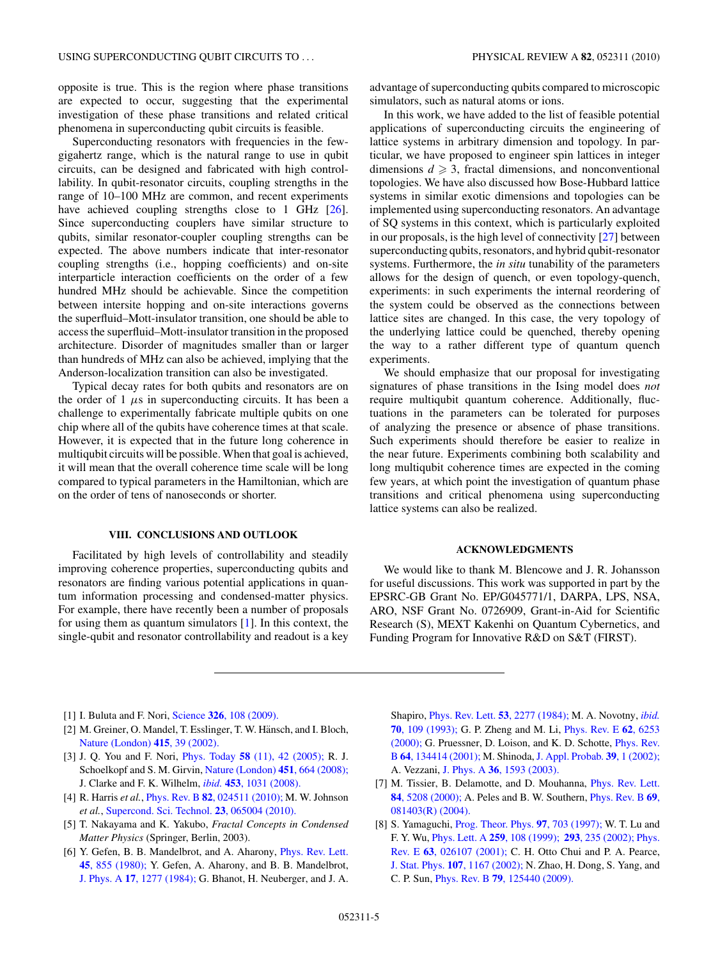<span id="page-4-0"></span>opposite is true. This is the region where phase transitions are expected to occur, suggesting that the experimental investigation of these phase transitions and related critical phenomena in superconducting qubit circuits is feasible.

Superconducting resonators with frequencies in the fewgigahertz range, which is the natural range to use in qubit circuits, can be designed and fabricated with high controllability. In qubit-resonator circuits, coupling strengths in the range of 10–100 MHz are common, and recent experiments have achieved coupling strengths close to 1 GHz [\[26\]](#page-5-0). Since superconducting couplers have similar structure to qubits, similar resonator-coupler coupling strengths can be expected. The above numbers indicate that inter-resonator coupling strengths (i.e., hopping coefficients) and on-site interparticle interaction coefficients on the order of a few hundred MHz should be achievable. Since the competition between intersite hopping and on-site interactions governs the superfluid–Mott-insulator transition, one should be able to access the superfluid–Mott-insulator transition in the proposed architecture. Disorder of magnitudes smaller than or larger than hundreds of MHz can also be achieved, implying that the Anderson-localization transition can also be investigated.

Typical decay rates for both qubits and resonators are on the order of  $1 \mu s$  in superconducting circuits. It has been a challenge to experimentally fabricate multiple qubits on one chip where all of the qubits have coherence times at that scale. However, it is expected that in the future long coherence in multiqubit circuits will be possible. When that goal is achieved, it will mean that the overall coherence time scale will be long compared to typical parameters in the Hamiltonian, which are on the order of tens of nanoseconds or shorter.

# **VIII. CONCLUSIONS AND OUTLOOK**

Facilitated by high levels of controllability and steadily improving coherence properties, superconducting qubits and resonators are finding various potential applications in quantum information processing and condensed-matter physics. For example, there have recently been a number of proposals for using them as quantum simulators [1]. In this context, the single-qubit and resonator controllability and readout is a key

advantage of superconducting qubits compared to microscopic simulators, such as natural atoms or ions.

In this work, we have added to the list of feasible potential applications of superconducting circuits the engineering of lattice systems in arbitrary dimension and topology. In particular, we have proposed to engineer spin lattices in integer dimensions  $d \geq 3$ , fractal dimensions, and nonconventional topologies. We have also discussed how Bose-Hubbard lattice systems in similar exotic dimensions and topologies can be implemented using superconducting resonators. An advantage of SQ systems in this context, which is particularly exploited in our proposals, is the high level of connectivity [\[27\]](#page-5-0) between superconducting qubits, resonators, and hybrid qubit-resonator systems. Furthermore, the *in situ* tunability of the parameters allows for the design of quench, or even topology-quench, experiments: in such experiments the internal reordering of the system could be observed as the connections between lattice sites are changed. In this case, the very topology of the underlying lattice could be quenched, thereby opening the way to a rather different type of quantum quench experiments.

We should emphasize that our proposal for investigating signatures of phase transitions in the Ising model does *not* require multiqubit quantum coherence. Additionally, fluctuations in the parameters can be tolerated for purposes of analyzing the presence or absence of phase transitions. Such experiments should therefore be easier to realize in the near future. Experiments combining both scalability and long multiqubit coherence times are expected in the coming few years, at which point the investigation of quantum phase transitions and critical phenomena using superconducting lattice systems can also be realized.

### **ACKNOWLEDGMENTS**

We would like to thank M. Blencowe and J. R. Johansson for useful discussions. This work was supported in part by the EPSRC-GB Grant No. EP/G045771/1, DARPA, LPS, NSA, ARO, NSF Grant No. 0726909, Grant-in-Aid for Scientific Research (S), MEXT Kakenhi on Quantum Cybernetics, and Funding Program for Innovative R&D on S&T (FIRST).

- [1] I. Buluta and F. Nori, Science **326**[, 108 \(2009\).](http://dx.doi.org/10.1126/science.1177838)
- [2] M. Greiner, O. Mandel, T. Esslinger, T. W. Hänsch, and I. Bloch, [Nature \(London\)](http://dx.doi.org/10.1038/415039a) **415**, 39 (2002).
- [3] J. Q. You and F. Nori, Phys. Today **58** [\(11\), 42 \(2005\);](http://dx.doi.org/10.1063/1.2155757) R. J. Schoelkopf and S. M. Girvin, [Nature \(London\)](http://dx.doi.org/10.1038/451664a) **451**, 664 (2008); J. Clarke and F. K. Wilhelm, *ibid.* **453**[, 1031 \(2008\).](http://dx.doi.org/10.1038/nature07128)
- [4] R. Harris *et al.*, Phys. Rev. B **82**[, 024511 \(2010\);](http://dx.doi.org/10.1103/PhysRevB.82.024511) M. W. Johnson *et al.*, [Supercond. Sci. Technol.](http://dx.doi.org/10.1088/0953-2048/23/6/065004) **23**, 065004 (2010).
- [5] T. Nakayama and K. Yakubo, *Fractal Concepts in Condensed Matter Physics* (Springer, Berlin, 2003).
- [6] Y. Gefen, B. B. Mandelbrot, and A. Aharony, [Phys. Rev. Lett.](http://dx.doi.org/10.1103/PhysRevLett.45.855) **45**[, 855 \(1980\);](http://dx.doi.org/10.1103/PhysRevLett.45.855) Y. Gefen, A. Aharony, and B. B. Mandelbrot, J. Phys. A **17**[, 1277 \(1984\);](http://dx.doi.org/10.1088/0305-4470/17/6/024) G. Bhanot, H. Neuberger, and J. A.

Shapiro, [Phys. Rev. Lett.](http://dx.doi.org/10.1103/PhysRevLett.53.2277) **53**, 2277 (1984); M. A. Novotny, *[ibid.](http://dx.doi.org/10.1103/PhysRevLett.70.109)* **70**[, 109 \(1993\);](http://dx.doi.org/10.1103/PhysRevLett.70.109) G. P. Zheng and M. Li, [Phys. Rev. E](http://dx.doi.org/10.1103/PhysRevE.62.6253) **62**, 6253 [\(2000\);](http://dx.doi.org/10.1103/PhysRevE.62.6253) G. Pruessner, D. Loison, and K. D. Schotte, [Phys. Rev.](http://dx.doi.org/10.1103/PhysRevB.64.134414) B **64**[, 134414 \(2001\);](http://dx.doi.org/10.1103/PhysRevB.64.134414) M. Shinoda, [J. Appl. Probab.](http://dx.doi.org/10.1239/jap/1019737982) **39**, 1 (2002); A. Vezzani, J. Phys. A **36**[, 1593 \(2003\).](http://dx.doi.org/10.1088/0305-4470/36/6/305)

- [7] M. Tissier, B. Delamotte, and D. Mouhanna, [Phys. Rev. Lett.](http://dx.doi.org/10.1103/PhysRevLett.84.5208) **84**[, 5208 \(2000\);](http://dx.doi.org/10.1103/PhysRevLett.84.5208) A. Peles and B. W. Southern, [Phys. Rev. B](http://dx.doi.org/10.1103/PhysRevB.69.081403) **69**, [081403\(R\) \(2004\).](http://dx.doi.org/10.1103/PhysRevB.69.081403)
- [8] S. Yamaguchi, [Prog. Theor. Phys.](http://dx.doi.org/10.1143/PTP.97.703) **97**, 703 (1997); W. T. Lu and F. Y. Wu, [Phys. Lett. A](http://dx.doi.org/10.1016/S0375-9601(99)00420-X) **259**, 108 (1999); **293**[, 235 \(2002\);](http://dx.doi.org/10.1016/S0375-9601(02)00019-1) [Phys.](http://dx.doi.org/10.1103/PhysRevE.63.026107) Rev. E **63**[, 026107 \(2001\);](http://dx.doi.org/10.1103/PhysRevE.63.026107) C. H. Otto Chui and P. A. Pearce, J. Stat. Phys. **107**[, 1167 \(2002\);](http://dx.doi.org/10.1023/A:1015113909363) N. Zhao, H. Dong, S. Yang, and C. P. Sun, Phys. Rev. B **79**[, 125440 \(2009\).](http://dx.doi.org/10.1103/PhysRevB.79.125440)